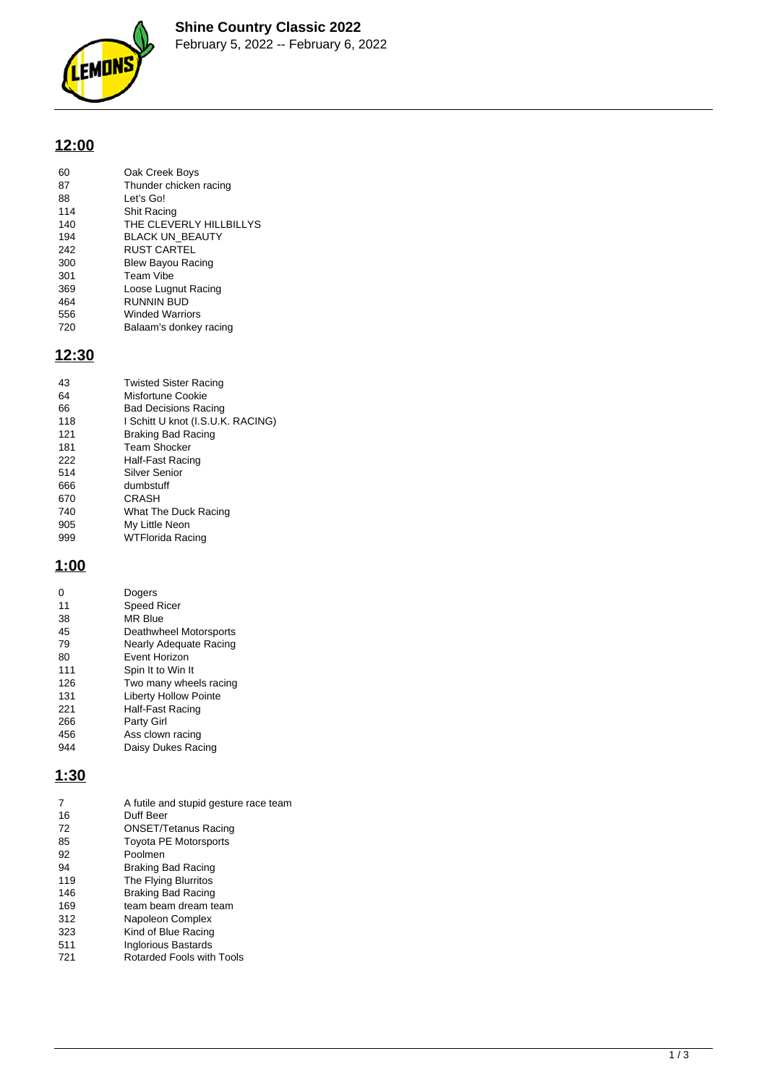

# **12:00**

| 60  | Oak Creek Boys           |
|-----|--------------------------|
| 87  | Thunder chicken racing   |
| 88  | Let's Go!                |
| 114 | Shit Racing              |
| 140 | THE CLEVERLY HILLBILLYS  |
| 194 | <b>BLACK UN BEAUTY</b>   |
| 242 | <b>RUST CARTEL</b>       |
| 300 | <b>Blew Bayou Racing</b> |
| 301 | Team Vibe                |
| 369 | Loose Lugnut Racing      |
| 464 | <b>RUNNIN BUD</b>        |
| 556 | <b>Winded Warriors</b>   |
| 720 | Balaam's donkey racing   |
|     |                          |

# **12:30**

| 43  | <b>Twisted Sister Racing</b>      |
|-----|-----------------------------------|
| 64  | Misfortune Cookie                 |
| 66  | <b>Bad Decisions Racing</b>       |
| 118 | I Schitt U knot (I.S.U.K. RACING) |
| 121 | <b>Braking Bad Racing</b>         |
| 181 | Team Shocker                      |
| 222 | Half-Fast Racing                  |
| 514 | Silver Senior                     |
| 666 | dumbstuff                         |
| 670 | CRASH                             |
| 740 | What The Duck Racing              |
| 905 | My Little Neon                    |
| 999 | WTFlorida Racing                  |

# **1:00**

|     | Dogers                       |
|-----|------------------------------|
| 11  | <b>Speed Ricer</b>           |
| 38  | <b>MR Blue</b>               |
| 45  | Deathwheel Motorsports       |
| 79  | Nearly Adequate Racing       |
| 80  | <b>Fvent Horizon</b>         |
| 111 | Spin It to Win It            |
| 126 | Two many wheels racing       |
| 131 | <b>Liberty Hollow Pointe</b> |
| 221 | Half-Fast Racing             |
| 266 | Party Girl                   |
| 456 | Ass clown racing             |
| 944 | Daisy Dukes Racing           |

## **1:30**

| 7   | A futile and stupid gesture race team |
|-----|---------------------------------------|
| 16  | Duff Beer                             |
| 72  | <b>ONSET/Tetanus Racing</b>           |
| 85  | <b>Toyota PE Motorsports</b>          |
| 92  | Poolmen                               |
| 94  | Braking Bad Racing                    |
| 119 | The Flying Blurritos                  |
| 146 | Braking Bad Racing                    |
| 169 | team beam dream team                  |
| 312 | Napoleon Complex                      |
| 323 | Kind of Blue Racing                   |
| 511 | Inglorious Bastards                   |
| 721 | Rotarded Fools with Tools             |
|     |                                       |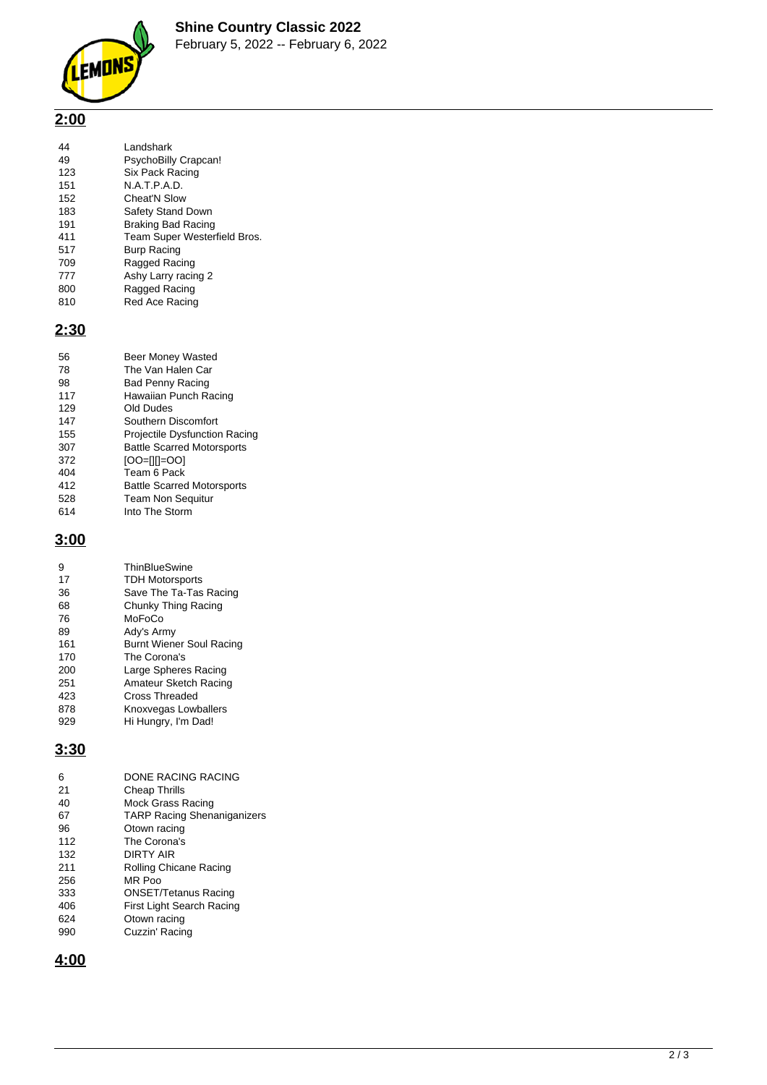

# **2:00**

| I andshark                   |
|------------------------------|
| PsychoBilly Crapcan!         |
|                              |
| Six Pack Racing              |
| N.A.T.P.A.D.                 |
| Cheat'N Slow                 |
| <b>Safety Stand Down</b>     |
| Braking Bad Racing           |
| Team Super Westerfield Bros. |
| <b>Burp Racing</b>           |
| Ragged Racing                |
| Ashy Larry racing 2          |
| Ragged Racing                |
| Red Ace Racing               |
|                              |

### **2:30**

| 56  | <b>Beer Money Wasted</b>             |
|-----|--------------------------------------|
| 78  | The Van Halen Car                    |
| 98  | <b>Bad Penny Racing</b>              |
| 117 | Hawaiian Punch Racing                |
| 129 | Old Dudes                            |
| 147 | Southern Discomfort                  |
| 155 | <b>Projectile Dysfunction Racing</b> |
| 307 | <b>Battle Scarred Motorsports</b>    |
| 372 | [00=[1[]=00]                         |
| 404 | Team 6 Pack                          |
| 412 | <b>Battle Scarred Motorsports</b>    |
| 528 | <b>Team Non Sequitur</b>             |
| 614 | Into The Storm                       |

## **3:00**

| 9   | ThinBlueSwine                   |
|-----|---------------------------------|
| 17  | <b>TDH Motorsports</b>          |
| 36  | Save The Ta-Tas Racing          |
| 68  | Chunky Thing Racing             |
| 76  | MoFoCo                          |
| 89  | Ady's Army                      |
| 161 | <b>Burnt Wiener Soul Racing</b> |
| 170 | The Corona's                    |
| 200 | Large Spheres Racing            |
| 251 | Amateur Sketch Racing           |
| 423 | Cross Threaded                  |
| 878 | Knoxvegas Lowballers            |
| 929 | Hi Hungry, I'm Dad!             |

### **3:30**

| 6   | <b>DONE RACING RACING</b>          |
|-----|------------------------------------|
| 21  | Cheap Thrills                      |
| 40  | Mock Grass Racing                  |
| 67  | <b>TARP Racing Shenaniganizers</b> |
| 96  | Otown racing                       |
| 112 | The Corona's                       |
| 132 | <b>DIRTY AIR</b>                   |
| 211 | Rolling Chicane Racing             |
| 256 | MR Poo                             |
| 333 | <b>ONSET/Tetanus Racing</b>        |
| 406 | First Light Search Racing          |
| 624 | Otown racing                       |
| 990 | Cuzzin' Racing                     |

**4:00**